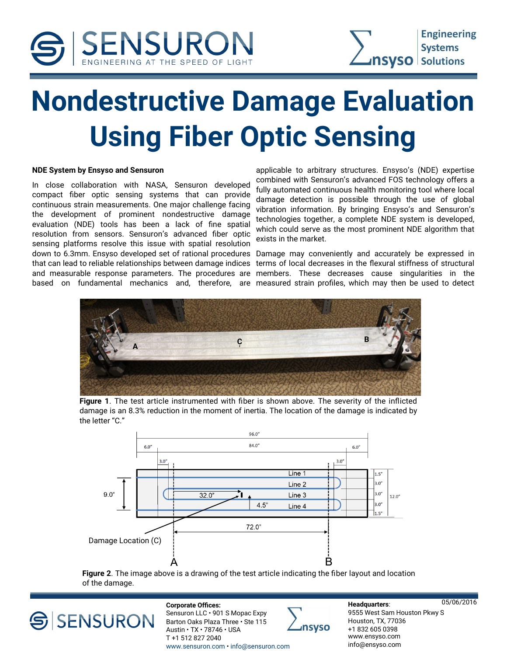



## **Nondestructive Damage Evaluation Using Fiber Optic Sensing**

### **NDE System by Ensyso and Sensuron**

In close collaboration with NASA, Sensuron developed compact fiber optic sensing systems that can provide continuous strain measurements. One major challenge facing the development of prominent nondestructive damage evaluation (NDE) tools has been a lack of fine spatial resolution from sensors. Sensuron's advanced fiber optic sensing platforms resolve this issue with spatial resolution down to 6.3mm. Ensyso developed set of rational procedures Damage may conveniently and accurately be expressed in that can lead to reliable relationships between damage indices and measurable response parameters. The procedures are

applicable to arbitrary structures. Ensyso's (NDE) expertise combined with Sensuron's advanced FOS technology offers a fully automated continuous health monitoring tool where local damage detection is possible through the use of global vibration information. By bringing Ensyso's and Sensuron's technologies together, a complete NDE system is developed, which could serve as the most prominent NDE algorithm that exists in the market.

based on fundamental mechanics and, therefore, are measured strain profiles, which may then be used to detect terms of local decreases in the flexural stiffness of structural members. These decreases cause singularities in the



**Figure 1**. The test article instrumented with fiber is shown above. The severity of the inflicted damage is an 8.3% reduction in the moment of inertia. The location of the damage is indicated by the letter "C."



**Figure 2**. The image above is a drawing of the test article indicating the fiber layout and location of the damage.

SSENSURON

05/06/2016 **Corporate Offices:**  Sensuron LLC · 901 S Mopac Expy Barton Oaks Plaza Three • Ste 115 Austin • TX • 78746 • USA T +1 512 827 2040 [www.sensuron.com](http://www.sensuron.com) • [info@sensuron.com](mailto:info@sensuron.com)



**Headquarters**: 9555 West Sam Houston Pkwy S Houston, TX, 77036 +1 832 605 0398 [www.ensyso.com](http://www.ensyso.com)  [info@ensyso.com](mailto:info@ensyso.com)